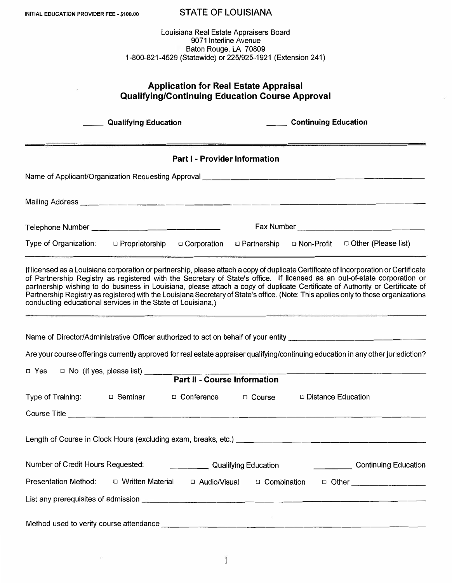| INITIAL EDUCATION PROVIDER FEE - \$100.00                                                                                                              | <b>STATE OF LOUISIANA</b>                                                                                                                                                                                                                                                                                                                                                                                                                                                                                                                |  |  |  |  |
|--------------------------------------------------------------------------------------------------------------------------------------------------------|------------------------------------------------------------------------------------------------------------------------------------------------------------------------------------------------------------------------------------------------------------------------------------------------------------------------------------------------------------------------------------------------------------------------------------------------------------------------------------------------------------------------------------------|--|--|--|--|
| Louisiana Real Estate Appraisers Board<br>9071 Interline Avenue<br>Baton Rouge, LA 70809<br>1-800-821-4529 (Statewide) or 225/925-1921 (Extension 241) |                                                                                                                                                                                                                                                                                                                                                                                                                                                                                                                                          |  |  |  |  |
| <b>Application for Real Estate Appraisal</b><br><b>Qualifying/Continuing Education Course Approval</b>                                                 |                                                                                                                                                                                                                                                                                                                                                                                                                                                                                                                                          |  |  |  |  |
| <b>Qualifying Education</b>                                                                                                                            | __ Continuing Education                                                                                                                                                                                                                                                                                                                                                                                                                                                                                                                  |  |  |  |  |
| Part I - Provider Information                                                                                                                          |                                                                                                                                                                                                                                                                                                                                                                                                                                                                                                                                          |  |  |  |  |
|                                                                                                                                                        |                                                                                                                                                                                                                                                                                                                                                                                                                                                                                                                                          |  |  |  |  |
|                                                                                                                                                        |                                                                                                                                                                                                                                                                                                                                                                                                                                                                                                                                          |  |  |  |  |
|                                                                                                                                                        |                                                                                                                                                                                                                                                                                                                                                                                                                                                                                                                                          |  |  |  |  |
| Type of Organization: $\Box$ Proprietorship                                                                                                            | □ Corporation □ Partnership □ Non-Profit □ Other (Please list)                                                                                                                                                                                                                                                                                                                                                                                                                                                                           |  |  |  |  |
| conducting educational services in the State of Louisiana.)                                                                                            | If licensed as a Louisiana corporation or partnership, please attach a copy of duplicate Certificate of Incorporation or Certificate<br>of Partnership Registry as registered with the Secretary of State's office. If licensed as an out-of-state corporation or<br>partnership wishing to do business in Louisiana, please attach a copy of duplicate Certificate of Authority or Certificate of<br>Partnership Registry as registered with the Louisiana Secretary of State's office. (Note: This applies only to those organizations |  |  |  |  |
| Name of Director/Administrative Officer authorized to act on behalf of your entity                                                                     |                                                                                                                                                                                                                                                                                                                                                                                                                                                                                                                                          |  |  |  |  |
|                                                                                                                                                        | Are your course offerings currently approved for real estate appraiser qualifying/continuing education in any other jurisdiction?                                                                                                                                                                                                                                                                                                                                                                                                        |  |  |  |  |
|                                                                                                                                                        | □ Yes □ No (If yes, please list)<br>Part II - Course Information                                                                                                                                                                                                                                                                                                                                                                                                                                                                         |  |  |  |  |
|                                                                                                                                                        |                                                                                                                                                                                                                                                                                                                                                                                                                                                                                                                                          |  |  |  |  |
| Type of Training: $\Box$ Seminar $\Box$ Conference $\Box$ Course $\Box$ Distance Education                                                             |                                                                                                                                                                                                                                                                                                                                                                                                                                                                                                                                          |  |  |  |  |
|                                                                                                                                                        |                                                                                                                                                                                                                                                                                                                                                                                                                                                                                                                                          |  |  |  |  |
|                                                                                                                                                        |                                                                                                                                                                                                                                                                                                                                                                                                                                                                                                                                          |  |  |  |  |
| Number of Credit Hours Requested: Cambridge Continuing Education Number of Credit Hours Requested: Continuing                                          |                                                                                                                                                                                                                                                                                                                                                                                                                                                                                                                                          |  |  |  |  |
| Presentation Method:  □ Written Material □ Audio/Visual □ Combination □ Other _______________                                                          |                                                                                                                                                                                                                                                                                                                                                                                                                                                                                                                                          |  |  |  |  |
|                                                                                                                                                        |                                                                                                                                                                                                                                                                                                                                                                                                                                                                                                                                          |  |  |  |  |
|                                                                                                                                                        |                                                                                                                                                                                                                                                                                                                                                                                                                                                                                                                                          |  |  |  |  |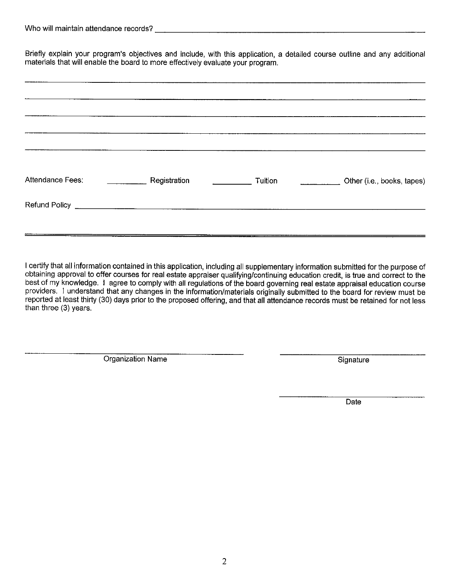Briefly explain your program's objectives and include, with this application, a detailed course outline and any additional materials that will enable the board to more effectively evaluate your program.

| Attendance Fees: | Registration | Tuition<br><u> 1990 - Jan Barnett</u> | Other (i.e., books, tapes) |
|------------------|--------------|---------------------------------------|----------------------------|
|                  |              |                                       |                            |
|                  |              |                                       |                            |

I certify that all information contained in this application, including all supplementary information submitted for the purpose of obtaining approval to offer courses for real estate appraiser qualifying/continuing education credit, is true and correct to the best of my knowledge. I agree to comply with all regulations of the board governing real estate appraisal education course providers. I understand that any changes in the information/materials originally submitted to the board for review must be reported at least thirty (30) days prior to the proposed offering, and that all attendance records must be retained for not less than three (3) years.

Organization Name

Signature

Date